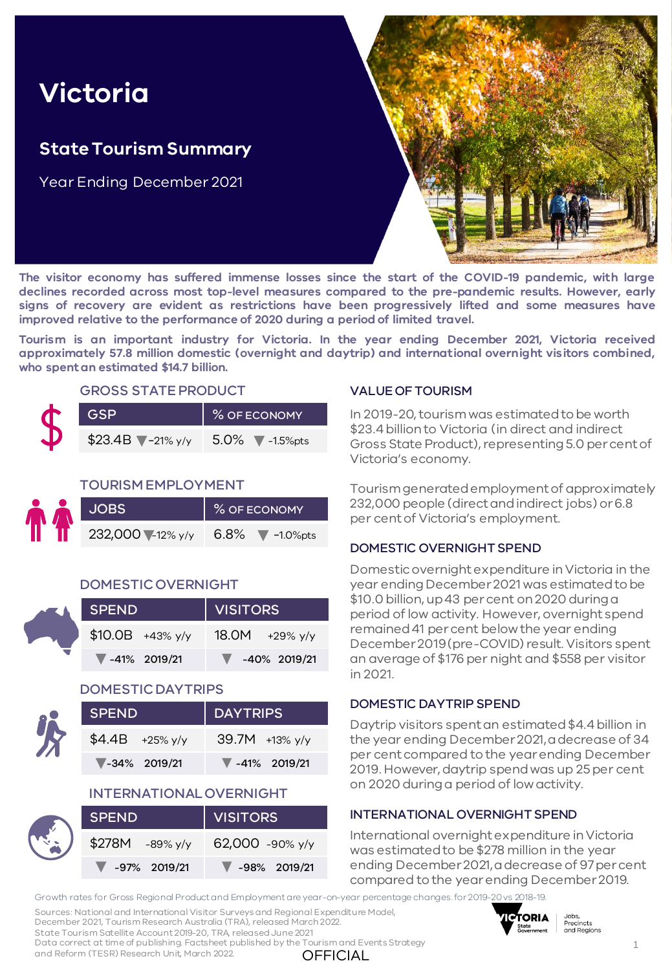# **Victoria**

## **State Tourism Summary**

Year Ending December 2021



**The visitor economy has suffered immense losses since the start of the COVID-19 pandemic, with large declines recorded across most top-level measures compared to the pre-pandemic results. However, early signs of recovery are evident as restrictions have been progressively lifted and some measures have improved relative to the performance of 2020 during a period of limited travel.**

**Tourism is an important industry for Victoria. In the year ending December 2021, Victoria received approximately 57.8 million domestic (overnight and daytrip) and international overnight visitors combined, who spentan estimated \$14.7 billion.**

#### GROSS STATE PRODUCT

| <b>GSP</b>            | % OF ECONOMY                          |  |  |  |
|-----------------------|---------------------------------------|--|--|--|
| $$23.4B$ $7-21\%$ y/y | $5.0\%$ $\blacktriangledown$ -1.5%pts |  |  |  |

#### TOURISM EMPLOYMENT

| <b>AP</b> |                  | % OF ECONOMY              |  |  |  |
|-----------|------------------|---------------------------|--|--|--|
|           | 232,000 -12% y/y | 6.8% $\sqrt{\ }$ -1.0%pts |  |  |  |

#### DOMESTIC OVERNIGHT

| <b>SA</b> | <b>SPEND</b> |                                   | VISITORS |                                   |  |  |  |
|-----------|--------------|-----------------------------------|----------|-----------------------------------|--|--|--|
|           |              | $$10.0B$ +43% y/y                 |          | $18.0M$ +29% y/y                  |  |  |  |
|           |              | $\blacktriangledown$ -41% 2019/21 |          | $\blacktriangledown$ -40% 2019/21 |  |  |  |

#### DOMESTIC DAYTRIPS

| <b>SPEND</b>                      | DAYTRIPS                          |  |  |  |  |
|-----------------------------------|-----------------------------------|--|--|--|--|
| $$4.4B$ +25% y/y                  | $39.7M +13\%$ y/y                 |  |  |  |  |
| $\blacktriangledown$ -34% 2019/21 | $\blacktriangledown$ -41% 2019/21 |  |  |  |  |

#### INTERNATIONAL OVERNIGHT

|  | SPEND,                            | VISITORS                          |  |  |  |
|--|-----------------------------------|-----------------------------------|--|--|--|
|  | $$278M$ -89% y/y                  | 62,000 -90% y/y                   |  |  |  |
|  | $\blacktriangledown$ -97% 2019/21 | $\blacktriangledown$ -98% 2019/21 |  |  |  |

#### VALUE OF TOURISM

In 2019-20, tourism was estimated to be worth \$23.4 billion to Victoria (in direct and indirect Gross State Product), representing 5.0 per cent of Victoria's economy.

Tourism generated employment of approximately 232,000 people (direct and indirect jobs) or 6.8 per cent of Victoria's employment.

#### DOMESTIC OVERNIGHT SPEND

Domestic overnight expenditure in Victoria in the year ending December 2021 was estimated to be \$10.0 billion, up 43 per cent on 2020 during a period of low activity. However, overnight spend remained 41 per cent below the year ending December 2019 (pre-COVID) result. Visitors spent an average of \$176 per night and \$558 per visitor in 2021.

#### DOMESTIC DAYTRIP SPEND

Daytrip visitors spent an estimated \$4.4 billion in the year ending December 2021, a decrease of 34 per cent compared to the year ending December 2019. However, daytrip spend was up 25 per cent on 2020 during a period of low activity.

#### INTERNATIONAL OVERNIGHT SPEND

International overnight expenditure in Victoria was estimated to be \$278 million in the year ending December 2021, a decrease of 97 per cent compared to the year ending December 2019.

Growth rates for Gross Regional Product and Employment are year-on-year percentage changes.for 2019-20vs 2018-19.

Sources: National and International Visitor Surveys and Regional Expenditure Model, December 2021, Tourism Research Australia (TRA), released March 2022.



**OFFICIAL** State Tourism Satellite Account 2019-20, TRA, released June 2021 Data correct at time of publishing. Factsheet published by the Tourism and Events Strategy and Reform (TESR) Research Unit, March 2022.

1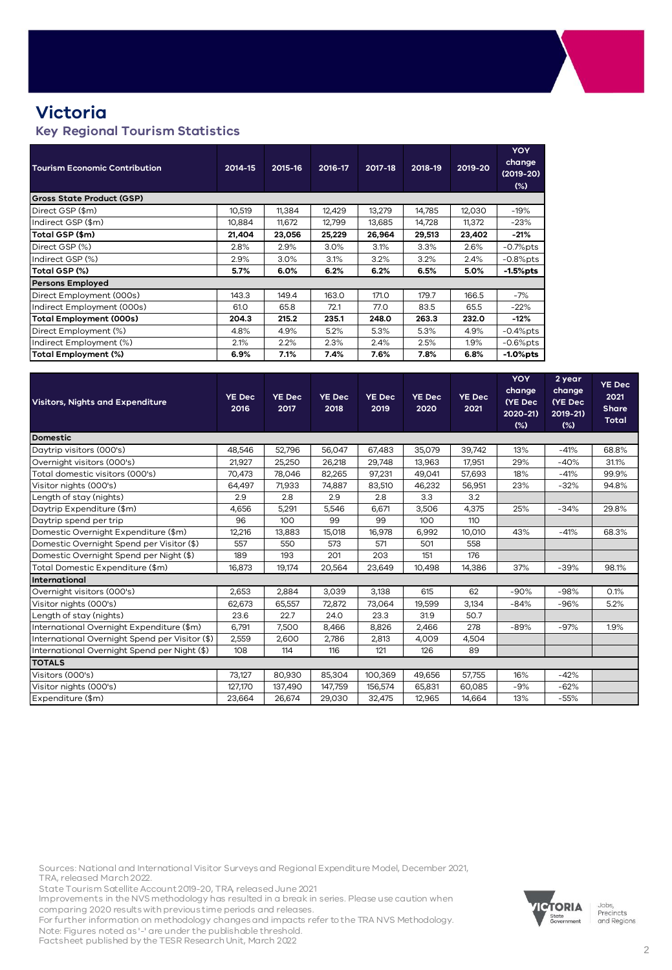## **Victoria**

#### **Key Regional Tourism Statistics**

| <b>Tourism Economic Contribution</b> | 2014-15 | 2015-16 | 2016-17 | 2017-18 | 2018-19 | 2019-20 | <b>YOY</b><br>change<br>$(2019-20)$<br>$(\%)$ |
|--------------------------------------|---------|---------|---------|---------|---------|---------|-----------------------------------------------|
| <b>Gross State Product (GSP)</b>     |         |         |         |         |         |         |                                               |
| Direct GSP (\$m)                     | 10,519  | 11,384  | 12,429  | 13,279  | 14,785  | 12,030  | $-19%$                                        |
| Indirect GSP (\$m)                   | 10,884  | 11,672  | 12,799  | 13,685  | 14,728  | 11,372  | $-23%$                                        |
| Total GSP (\$m)                      | 21,404  | 23,056  | 25,229  | 26,964  | 29,513  | 23,402  | $-21%$                                        |
| Direct GSP (%)                       | 2.8%    | 2.9%    | 3.0%    | 3.1%    | 3.3%    | 2.6%    | $-0.7%$ pts                                   |
| Indirect GSP (%)                     | 2.9%    | 3.0%    | 3.1%    | 3.2%    | 3.2%    | 2.4%    | $-0.8%$ pts                                   |
| Total GSP (%)                        | 5.7%    | 6.0%    | 6.2%    | 6.2%    | 6.5%    | 5.0%    | $-1.5%$ pts                                   |
| <b>Persons Employed</b>              |         |         |         |         |         |         |                                               |
| Direct Employment (000s)             | 143.3   | 149.4   | 163.0   | 171.0   | 179.7   | 166.5   | $-7%$                                         |
| Indirect Employment (000s)           | 61.0    | 65.8    | 72.1    | 77.0    | 83.5    | 65.5    | $-22%$                                        |
| <b>Total Employment (000s)</b>       | 204.3   | 215.2   | 235.1   | 248.0   | 263.3   | 232.0   | $-12%$                                        |
| Direct Employment (%)                | 4.8%    | 4.9%    | 5.2%    | 5.3%    | 5.3%    | 4.9%    | $-0.4%$ pts                                   |
| Indirect Employment (%)              | 2.1%    | 2.2%    | 2.3%    | 2.4%    | 2.5%    | 1.9%    | $-0.6%$ pts                                   |
| Total Employment (%)                 | 6.9%    | 7.1%    | 7.4%    | 7.6%    | 7.8%    | 6.8%    | $-1.0%$ pts                                   |

| <b>Visitors, Nights and Expenditure</b>        | <b>YE Dec</b><br>2016 | <b>YE Dec</b><br>2017 | <b>YE Dec</b><br>2018 | <b>YE Dec</b><br>2019 | <b>YE Dec</b><br>2020 | <b>YE Dec</b><br>2021 | <b>YOY</b><br>change<br>(YE Dec<br>2020-21)<br>$(\%)$ | 2 year<br>change<br>(YE Dec<br>2019-21)<br>$(\%)$ | <b>YE Dec</b><br>2021<br><b>Share</b><br><b>Total</b> |
|------------------------------------------------|-----------------------|-----------------------|-----------------------|-----------------------|-----------------------|-----------------------|-------------------------------------------------------|---------------------------------------------------|-------------------------------------------------------|
| <b>Domestic</b>                                |                       |                       |                       |                       |                       |                       |                                                       |                                                   |                                                       |
| Daytrip visitors (000's)                       | 48,546                | 52,796                | 56,047                | 67,483                | 35,079                | 39,742                | 13%                                                   | $-41%$                                            | 68.8%                                                 |
| Overnight visitors (000's)                     | 21,927                | 25,250                | 26,218                | 29,748                | 13,963                | 17,951                | 29%                                                   | $-40%$                                            | 31.1%                                                 |
| Total domestic visitors (000's)                | 70,473                | 78,046                | 82,265                | 97,231                | 49,041                | 57,693                | 18%                                                   | $-41%$                                            | 99.9%                                                 |
| Visitor nights (000's)                         | 64,497                | 71,933                | 74,887                | 83,510                | 46,232                | 56,951                | 23%                                                   | $-32%$                                            | 94.8%                                                 |
| Length of stay (nights)                        | 2.9                   | 2.8                   | 2.9                   | 2.8                   | 3.3                   | 3.2                   |                                                       |                                                   |                                                       |
| Daytrip Expenditure (\$m)                      | 4,656                 | 5,291                 | 5,546                 | 6,671                 | 3,506                 | 4,375                 | 25%                                                   | $-34%$                                            | 29.8%                                                 |
| Daytrip spend per trip                         | 96                    | 100                   | 99                    | 99                    | 100                   | 110                   |                                                       |                                                   |                                                       |
| Domestic Overnight Expenditure (\$m)           | 12,216                | 13,883                | 15,018                | 16,978                | 6.992                 | 10,010                | 43%                                                   | $-41%$                                            | 68.3%                                                 |
| Domestic Overnight Spend per Visitor (\$)      | 557                   | 550                   | 573                   | 571                   | 501                   | 558                   |                                                       |                                                   |                                                       |
| Domestic Overnight Spend per Night (\$)        | 189                   | 193                   | 201                   | 203                   | 151                   | 176                   |                                                       |                                                   |                                                       |
| Total Domestic Expenditure (\$m)               | 16,873                | 19.174                | 20.564                | 23,649                | 10,498                | 14,386                | 37%                                                   | $-39%$                                            | 98.1%                                                 |
| International                                  |                       |                       |                       |                       |                       |                       |                                                       |                                                   |                                                       |
| Overnight visitors (000's)                     | 2,653                 | 2,884                 | 3,039                 | 3,138                 | 615                   | 62                    | $-90%$                                                | $-98%$                                            | 0.1%                                                  |
| Visitor nights (000's)                         | 62,673                | 65,557                | 72,872                | 73,064                | 19,599                | 3,134                 | $-84%$                                                | $-96%$                                            | 5.2%                                                  |
| Length of stay (nights)                        | 23.6                  | 22.7                  | 24.0                  | 23.3                  | 31.9                  | 50.7                  |                                                       |                                                   |                                                       |
| International Overnight Expenditure (\$m)      | 6,791                 | 7,500                 | 8,466                 | 8,826                 | 2,466                 | 278                   | $-89%$                                                | $-97%$                                            | 1.9%                                                  |
| International Overnight Spend per Visitor (\$) | 2,559                 | 2,600                 | 2.786                 | 2,813                 | 4,009                 | 4,504                 |                                                       |                                                   |                                                       |
| International Overnight Spend per Night (\$)   | 108                   | 114                   | 116                   | 121                   | 126                   | 89                    |                                                       |                                                   |                                                       |
| <b>TOTALS</b>                                  |                       |                       |                       |                       |                       |                       |                                                       |                                                   |                                                       |
| Visitors (000's)                               | 73,127                | 80,930                | 85,304                | 100,369               | 49,656                | 57,755                | 16%                                                   | $-42%$                                            |                                                       |
| Visitor nights (000's)                         | 127,170               | 137,490               | 147,759               | 156,574               | 65,831                | 60,085                | $-9%$                                                 | $-62%$                                            |                                                       |
| Expenditure (\$m)                              | 23,664                | 26,674                | 29,030                | 32,475                | 12,965                | 14,664                | 13%                                                   | $-55%$                                            |                                                       |

Sources: National and International Visitor Surveys and Regional Expenditure Model, December 2021, TRA, released March 2022.

State Tourism Satellite Account 2019-20, TRA, released June 2021

Improvements in the NVS methodology has resulted in a break in series. Please use caution when comparing 2020 results with previous time periods and releases.

For further information on methodology changes and impacts refer to the TRA NVS Methodology. Note: Figures noted as '-' are under the publishable threshold.

Factsheet published by the TESR Research Unit, March 2022



Jobs,<br>Precincts<br>and Regions